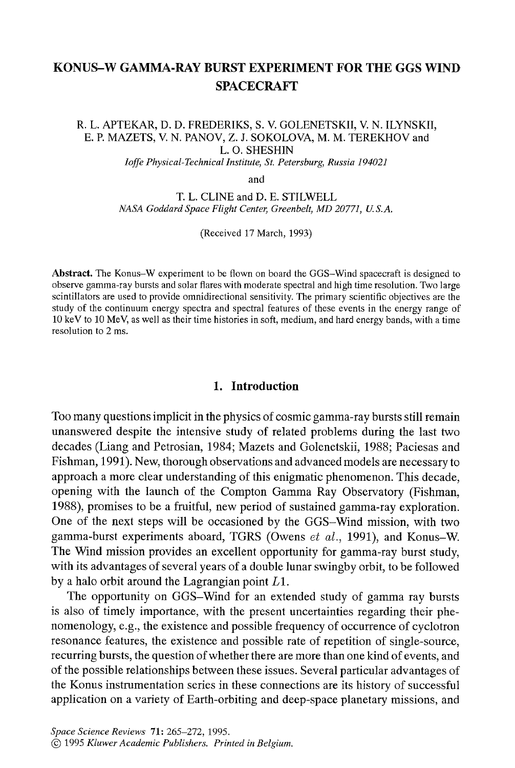# **KONUS-W GAMMA-RAY BURST EXPERIMENT FOR THE GGS WIND**  SPACECRAFT

# R. L. APTEKAR, D. D. FREDERIKS, S. V. GOLENETSKII, V. N. ILYNSKII, . L. APTEKAR, D. D. FREDERIKS, S. V. GOLENETSKII, V. N. ILYNSKI E. P. MAZETS, V. N. PANOV, Z. J. SOKOLOVA, M. M. TEREKHOV and *Ioffe Physical-Technical Institute, St. Petersburg, Russia 194021*

and

T. L. CLINE and D. E. STILWELL *NASA Goddard Space Flight Center, Greenbelt, MD 20771, U.S.A.* 

(Received 17 March, 1993)

**Abstract.** The Konus–W experiment to be flown on board the GGS–Wind spacecraft is designed to observe gamma-ray bursts and solar flares with moderate spectral and high time resolution. Two large scintillators are used to provide omnidirectional sensitivity. The primary scientific objectives are the study of the continuum energy spectra and spectral features of these events in the energy range of 10 keV to 10 MeV, as well as their time histories in soft, medium, and hard energy bands, with a time resolution to 2 ms.

### **1. Introduction**

Too many questions implicit in the physics of cosmic gamma-ray bursts still remain 100 many quesnons implien in the physics of cosmic gamma-ray bursts stiff temant unanswered despite the intensive study of related problems during the last two decades (Liang and Petrosian, 1984; Mazets and Golenetskii, 1988; Paciesas and Fishman, 1991). New, thorough observations and advanced models are necessary to approach a more clear understanding of this enigmatic phenomenon. This decade, opening with the launch of the Compton Gamma-Ray Observatory (Fishman, 1988), promises to be a fruitful, new period of sustained gamma-ray exploration. One of the next steps will be occasioned by the GGS-Wind mission, with two gamma-burst experiments aboard, TGRS (Owens  $et$   $al.,$  1991), and Konus-W. The Wind mission provides an excellent opportunity for gamma-ray burst study, with its advantages of several years of a double lunar swingby orbit, to be followed by a halo orbit around the Lagrangian point  $L1$ . a naio oron around the Lagrangian point  $L_1$ .

is also opportunity on OOS-wind for all extended study of gamma tay bursts is also of timely importance, with the present uncertainties regarding their phenomenology, e.g., the existence and possible frequency of occurrence of cyclotron resonance features, the existence and possible rate of repetition of single-source, recurring bursts, the question of whether there are more than one kind of events, and of the possible relationships between these issues. Several particular advantages of the Konus instrumentation series in these connections are its history of successful application on a variety of Earth-orbiting and deep-space planetary missions, and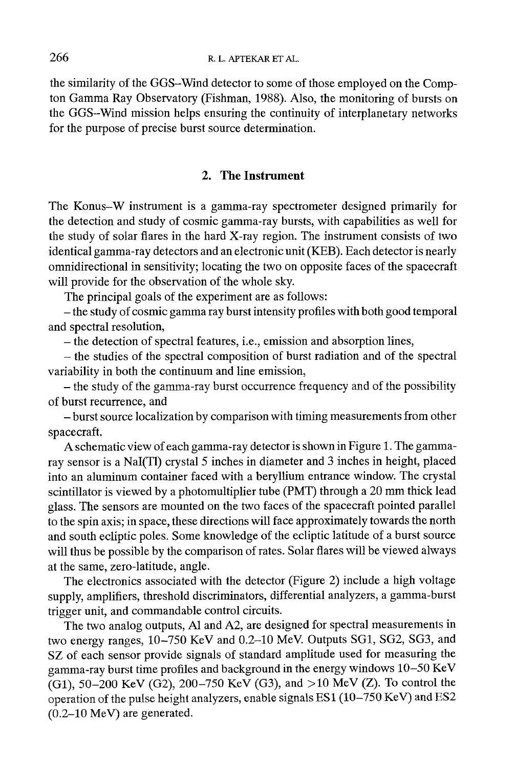the similarity of the GGS-Wind detector to some of those employed on the Compton Gamma Ray Observatory (Fishman, 1988). Also, the monitoring of bursts on the GGS-Wind mission helps ensuring the continuity of interplanetary networks for the purpose of precise burst source determination.

## **2. The Instrument**

The Konus-W instrument is a gamma-ray spectrometer designed primarily for the detection and study of cosmic gamma-ray bursts, with capabilities as well for the study of solar flares in the hard X-ray region. The instrument consists of two identical gamma-ray detectors and an electronic unit (KEB). Each detector is nearly omnidirectional in sensitivity; locating the two on opposite faces of the spacecraft will provide for the observation of the whole sky.

The principal goals of the experiment are as follows:

**-** the study of cosmic gamma ray burst intensity profiles with both good temporal and spectral resolution,

**-** the detection of spectral features, i.e., emission and absorption lines,

**-** the studies of the spectral composition of burst radiation and of the spectral variability in both the continuum and line emission,

- the study of the gamma-ray burst occurrence frequency and of the possibility of burst recurrence, and

**-** burst source localization by comparison with timing measurements from other spacecraft.

A schematic view of each gamma-ray detector is shown in Figure 1. The gammaray sensor is a NaI(T1) crystal 5 inches in diameter and 3 inches in height, placed into an aluminum container faced with a beryllium entrance window. The crystal scintillator is viewed by a photomultiplier tube (PMT) through a 20 mm thick lead glass. The sensors are mounted on the two faces of the spacecraft pointed parallel to the spin axis; in space, these directions will face approximately towards the north and south ecliptic poles. Some knowledge of the ecliptic latitude of a burst source will thus be possible by the comparison of rates. Solar flares will be viewed always at the same, zero-latitude, angle.

The electronics associated with the detector (Figure 2) include a high voltage supply, amplifiers, threshold discriminators, differential analyzers, a gamma-burst trigger unit, and commandable control circuits.

The two analog outputs, Al and A2, are designed for spectral measurements in two energy ranges, 10-750 KeV and 0.2-10 MeV. Outputs SG1, SG2, SG3, and SZ of each sensor provide signals of standard amplitude used for measuring the gamma-ray burst time profiles and background in the energy windows 10-50 KeV (G1), 50-200 KeV (G2), 200-750 KeV (G3), and >10 MeV (Z). To control the operation of the pulse height analyzers, enable signals ES 1 (10-750 KeV) and ES2 (0.2-10 MeV) are generated.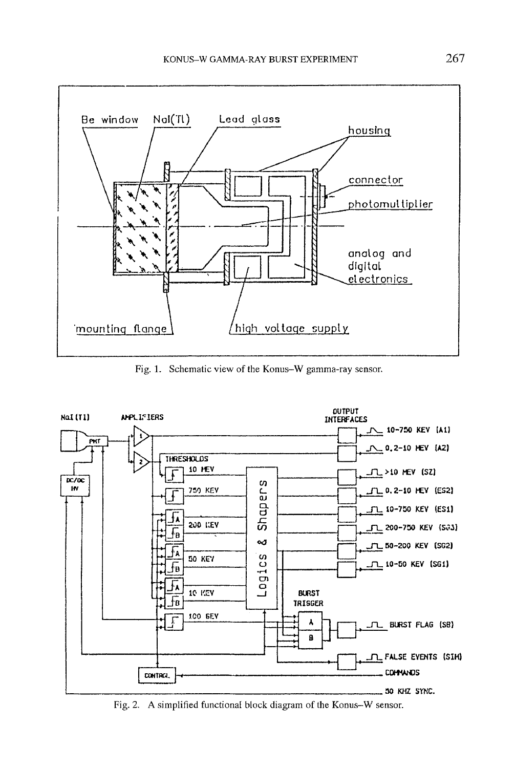

Fig. 1. Schematic view of the Konus-W gamma-ray sensor.



Fig. 2. A simplified functional block diagram of the Konus-W sensor.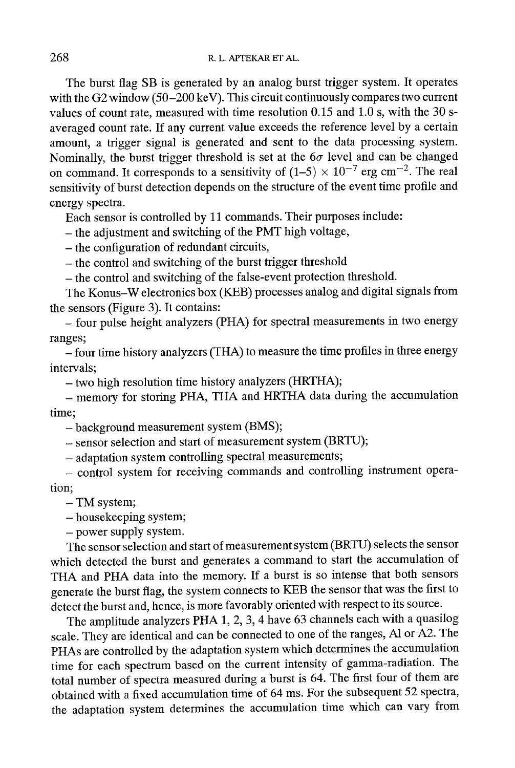The burst flag SB is generated by an analog burst trigger system. It operates with the G2 window (50-200 keV). This circuit continuously compares two current values of count rate, measured with time resolution 0.15 and 1.0 s, with the 30 saveraged count rate. If any current value exceeds the reference level by a certain amount, a trigger signal is generated and sent to the data processing system. Nominally, the burst trigger threshold is set at the  $6\sigma$  level and can be changed on command. It corresponds to a sensitivity of  $(1-5) \times 10^{-7}$  erg cm<sup>-2</sup>. The real sensitivity of burst detection depends on the structure of the event time profile and energy spectra.

Each sensor is controlled by 11 commands. Their purposes include:

**-** the adjustment and switching of the PMT high voltage,

**-** the configuration of redundant circuits,

**-** the control and switching of the burst trigger threshold

**-** the control and switching of the false-event protection threshold.

The Konus-W electronics box (KEB) processes analog and digital signals from the sensors (Figure 3). It contains:

- four pulse height analyzers (PHA) for spectral measurements in two energy ranges;

- four time history analyzers (THA) to measure the time profiles in three energy intervals;

- two high resolution time history analyzers (HRTHA);

- memory for storing PHA, THA and HRTHA data during the accumulation time;

**-** background measurement system (BMS);

**-** sensor selection and start of measurement system (BRTU);

**-** adaptation system controlling spectral measurements;

- control system for receiving commands and controlling instrument operation;

- TM system;

- housekeeping system;

- power supply system.

The sensor selection and start of measurement system (BRTU) selects the sensor which detected the burst and generates a command to start the accumulation of THA and PHA data into the memory. If a burst is so intense that both sensors generate the burst flag, the system connects to KEB the sensor that was the first to detect the burst and, hence, is more favorably oriented with respect to its source.

The amplitude analyzers PHA 1, 2, 3, 4 have 63 channels each with a quasilog scale. They are identical and can be connected to one of the ranges, A1 or A2. The PHAs are controlled by the adaptation system which determines the accumulation time for each spectrum based on the current intensity of gamma-radiation. The total number of spectra measured during a burst is 64. The first four of them are obtained with a fixed accumulation time of 64 ms. For the subsequent 52 spectra, the adaptation system determines the accumulation time which can vary from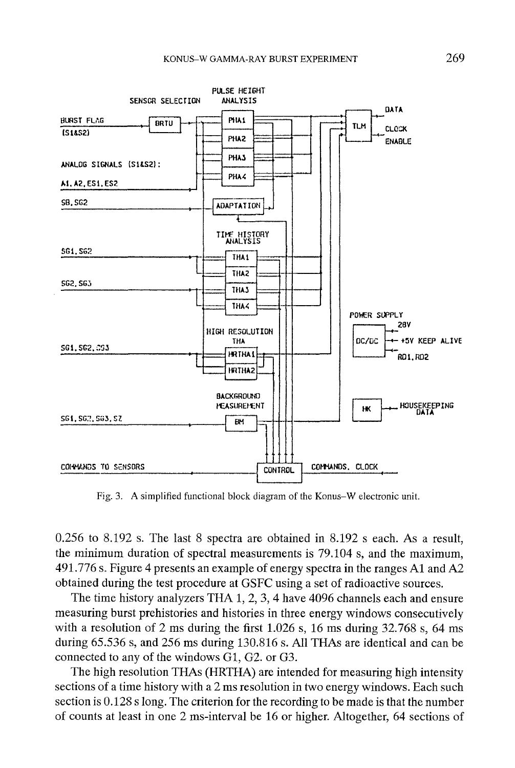

Fig. 3. A simplified functional block diagram of the Konus-W electronic unit.

0.256 to 8.192 s. The last 8 spectra are obtained in 8.192 s each. As a result, the minimum duration of spectral measurements is 79.104 s, and the maximum, 491.776 s. Figure 4 presents an example of energy spectra in the ranges A1 and A2 obtained during the test procedure at GSFC using a set of radioactive sources.

The time history analyzers THA 1, 2, 3, 4 have 4096 channels each and ensure measuring burst prehistories and histories in three energy windows consecutively with a resolution of 2 ms during the first  $1.026$  s, 16 ms during  $32.768$  s, 64 ms during 65.536 s, and 256 ms during 130.816 s. All THAs are identical and can be connected to any of the windows G1, G2. or G3.

The high resolution THAs (HRTHA) are intended for measuring high intensity sections of a time history with a 2 ms resolution in two energy windows. Each such section is 0.128 s long. The criterion for the recording to be made is that the number of counts at least in one 2 ms-interval be 16 or higher. Altogether, 64 sections of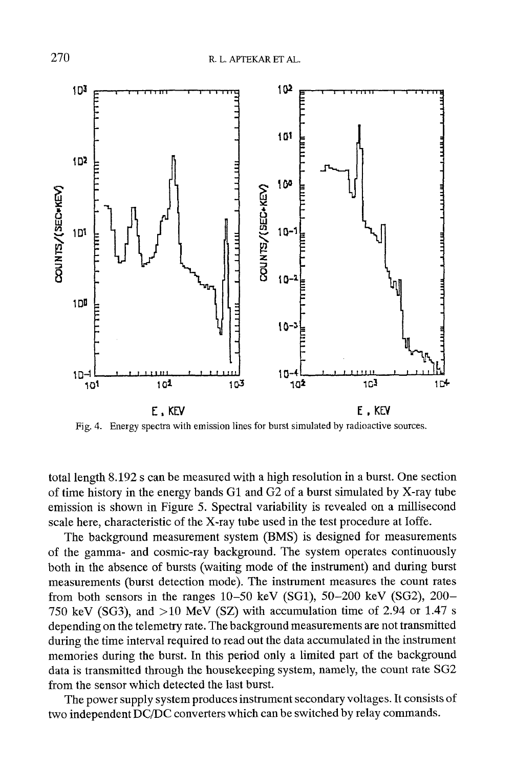

Fig. 4. Energy spectra with emission lines for burst simulated by radioactive sources.

total length 8.192 s can be measured with a high resolution in a burst. One section of time history in the energy bands G1 and G2 of a burst simulated by X-ray tube emission is shown in Figure 5. Spectral variability is revealed on a millisecond scale here, characteristic of the X-ray tube used in the test procedure at Ioffe.

The background measurement system (BMS) is designed for measurements of the gamma- and cosmic-ray background. The system operates continuously both in the absence of bursts (waiting mode of the instrument) and during burst measurements (burst detection mode). The instrument measures the count rates from both sensors in the ranges  $10-50$  keV (SG1),  $50-200$  keV (SG2),  $200-$ 750 keV (SG3), and  $>10$  MeV (SZ) with accumulation time of 2.94 or 1.47 s depending on the telemetry rate. The background measurements are not transmitted during the time interval required to read out the data accumulated in the instrument memories during the burst. In this period only a limited part of the background data is transmitted through the housekeeping system, namely, the count rate SG2 from the sensor which detected the last burst.

The power supply system produces instrument secondary voltages. It consists of two independent DC/DC converters which can be switched by relay commands.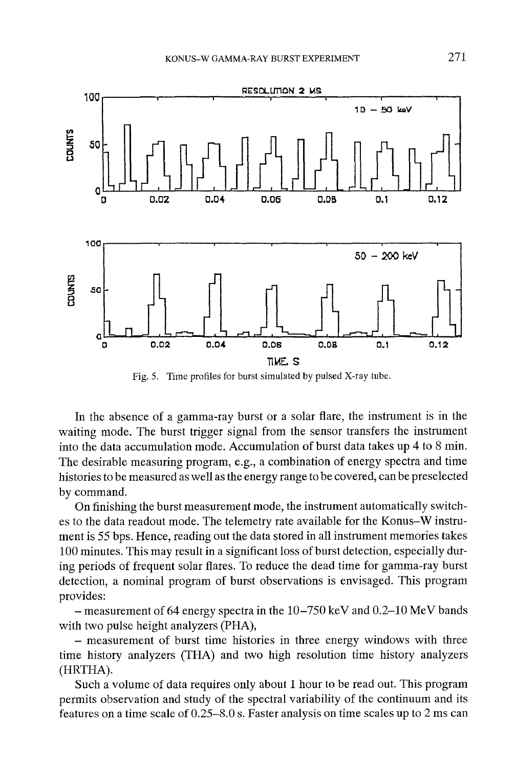

Fig. 5. Time profiles for burst simulated by pulsed X-ray tube.

In the absence of a gamma-ray burst or a solar flare, the instrument is in the waiting mode. The burst trigger signal from the sensor transfers the instrument into the data accumulation mode. Accumulation of burst data takes up 4 to 8 min. The desirable measuring program, e.g., a combination of energy spectra and time histories to be measured as well as the energy range to be covered, can be preselected by command.

On finishing the burst measurement mode, the instrument automatically switches to the data readout mode. The telemetry rate available for the Konus-W instrument is 55 bps. Hence, reading out the data stored in all instrument memories takes 100 minutes. This may result in a significant loss of burst detection, especially during periods of frequent solar flares. To reduce the dead time for gamma-ray burst detection, a nominal program of burst observations is envisaged. This program provides:

 $-$  measurement of 64 energy spectra in the 10–750 keV and 0.2–10 MeV bands with two pulse height analyzers (PHA),

- measurement of burst time histories in three energy windows with three time history analyzers (THA) and two high resolution time history analyzers (HRTHA).

Such a volume of data requires only about 1 hour to be read out. This program permits observation and study of the spectral variability of the continuum and its features on a time scale of 0.25-8.0 s. Faster analysis on time scales up to 2 ms can